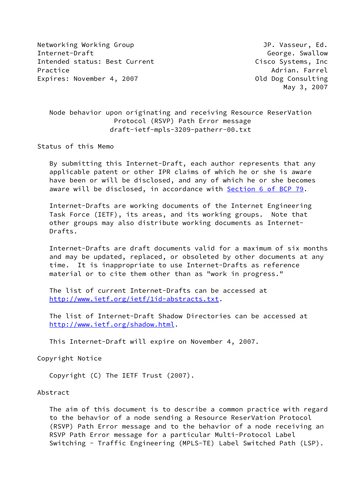Networking Working Group **Group Accompany** JP. Vasseur, Ed. Internet-Draft George. Swallow Intended status: Best Current Cisco Systems, Inc Practice Adrian. Farrel Adrian. Farrel Adrian. Farrel Adrian. Farrel Adrian. Farrel Adrian. Farrel Adrian. Farrel Adrian. Farrel Adrian. The Adrian Adrian. The Adrian Adrian Adrian. The Adrian Adrian Adrian Adrian Adrian A Expires: November 4, 2007 Channel Consulting Consulting

May 3, 2007

 Node behavior upon originating and receiving Resource ReserVation Protocol (RSVP) Path Error message draft-ietf-mpls-3209-patherr-00.txt

Status of this Memo

 By submitting this Internet-Draft, each author represents that any applicable patent or other IPR claims of which he or she is aware have been or will be disclosed, and any of which he or she becomes aware will be disclosed, in accordance with Section [6 of BCP 79.](https://datatracker.ietf.org/doc/pdf/bcp79#section-6)

 Internet-Drafts are working documents of the Internet Engineering Task Force (IETF), its areas, and its working groups. Note that other groups may also distribute working documents as Internet- Drafts.

 Internet-Drafts are draft documents valid for a maximum of six months and may be updated, replaced, or obsoleted by other documents at any time. It is inappropriate to use Internet-Drafts as reference material or to cite them other than as "work in progress."

 The list of current Internet-Drafts can be accessed at <http://www.ietf.org/ietf/1id-abstracts.txt>.

 The list of Internet-Draft Shadow Directories can be accessed at <http://www.ietf.org/shadow.html>.

This Internet-Draft will expire on November 4, 2007.

Copyright Notice

Copyright (C) The IETF Trust (2007).

Abstract

 The aim of this document is to describe a common practice with regard to the behavior of a node sending a Resource ReserVation Protocol (RSVP) Path Error message and to the behavior of a node receiving an RSVP Path Error message for a particular Multi-Protocol Label Switching - Traffic Engineering (MPLS-TE) Label Switched Path (LSP).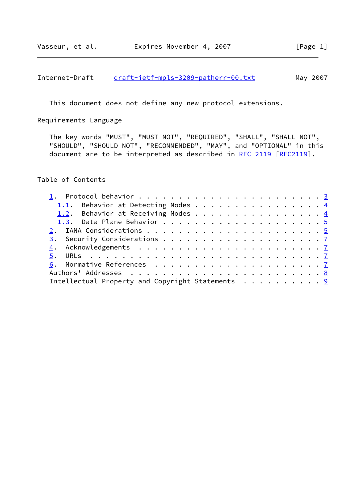# Internet-Draft [draft-ietf-mpls-3209-patherr-00.txt](https://datatracker.ietf.org/doc/pdf/draft-ietf-mpls-3209-patherr-00.txt) May 2007

This document does not define any new protocol extensions.

Requirements Language

 The key words "MUST", "MUST NOT", "REQUIRED", "SHALL", "SHALL NOT", "SHOULD", "SHOULD NOT", "RECOMMENDED", "MAY", and "OPTIONAL" in this document are to be interpreted as described in [RFC 2119 \[RFC2119](https://datatracker.ietf.org/doc/pdf/rfc2119)].

Table of Contents

|                                                  | 1.1. Behavior at Detecting Nodes 4 |  |  |  |  |  |  |  |  |  |  |  |
|--------------------------------------------------|------------------------------------|--|--|--|--|--|--|--|--|--|--|--|
|                                                  | 1.2. Behavior at Receiving Nodes 4 |  |  |  |  |  |  |  |  |  |  |  |
|                                                  |                                    |  |  |  |  |  |  |  |  |  |  |  |
|                                                  |                                    |  |  |  |  |  |  |  |  |  |  |  |
|                                                  |                                    |  |  |  |  |  |  |  |  |  |  |  |
|                                                  |                                    |  |  |  |  |  |  |  |  |  |  |  |
|                                                  |                                    |  |  |  |  |  |  |  |  |  |  |  |
|                                                  |                                    |  |  |  |  |  |  |  |  |  |  |  |
|                                                  |                                    |  |  |  |  |  |  |  |  |  |  |  |
| Intellectual Property and Copyright Statements 9 |                                    |  |  |  |  |  |  |  |  |  |  |  |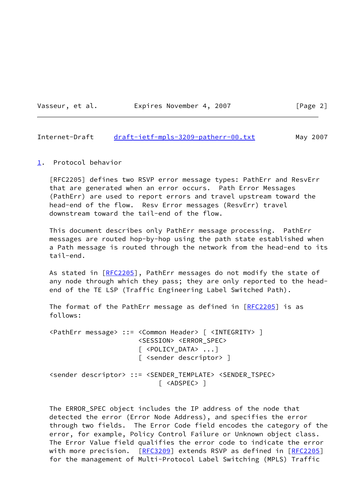Vasseur, et al. **Expires November 4, 2007** [Page 2]

## <span id="page-2-1"></span>Internet-Draft [draft-ietf-mpls-3209-patherr-00.txt](https://datatracker.ietf.org/doc/pdf/draft-ietf-mpls-3209-patherr-00.txt) May 2007

## <span id="page-2-0"></span>[1](#page-2-0). Protocol behavior

 [RFC2205] defines two RSVP error message types: PathErr and ResvErr that are generated when an error occurs. Path Error Messages (PathErr) are used to report errors and travel upstream toward the head-end of the flow. Resv Error messages (ResvErr) travel downstream toward the tail-end of the flow.

 This document describes only PathErr message processing. PathErr messages are routed hop-by-hop using the path state established when a Path message is routed through the network from the head-end to its tail-end.

As stated in [\[RFC2205](https://datatracker.ietf.org/doc/pdf/rfc2205)], PathErr messages do not modify the state of any node through which they pass; they are only reported to the head end of the TE LSP (Traffic Engineering Label Switched Path).

The format of the PathErr message as defined in  $[RFC2205]$  $[RFC2205]$  is as follows:

 <PathErr message> ::= <Common Header> [ <INTEGRITY> ] <SESSION> <ERROR\_SPEC> [ <POLICY\_DATA> ...] [ <sender descriptor> ]

 <sender descriptor> ::= <SENDER\_TEMPLATE> <SENDER\_TSPEC> [ <ADSPEC> ]

 The ERROR\_SPEC object includes the IP address of the node that detected the error (Error Node Address), and specifies the error through two fields. The Error Code field encodes the category of the error, for example, Policy Control Failure or Unknown object class. The Error Value field qualifies the error code to indicate the error with more precision. [[RFC3209](https://datatracker.ietf.org/doc/pdf/rfc3209)] extends RSVP as defined in [[RFC2205\]](https://datatracker.ietf.org/doc/pdf/rfc2205) for the management of Multi-Protocol Label Switching (MPLS) Traffic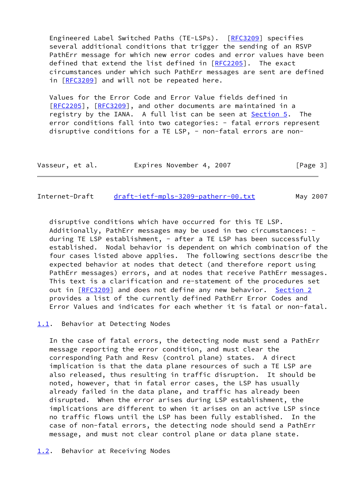Engineered Label Switched Paths (TE-LSPs). [\[RFC3209](https://datatracker.ietf.org/doc/pdf/rfc3209)] specifies several additional conditions that trigger the sending of an RSVP PathErr message for which new error codes and error values have been defined that extend the list defined in [\[RFC2205](https://datatracker.ietf.org/doc/pdf/rfc2205)]. The exact circumstances under which such PathErr messages are sent are defined in [[RFC3209\]](https://datatracker.ietf.org/doc/pdf/rfc3209) and will not be repeated here.

 Values for the Error Code and Error Value fields defined in [\[RFC2205](https://datatracker.ietf.org/doc/pdf/rfc2205)], [[RFC3209\]](https://datatracker.ietf.org/doc/pdf/rfc3209), and other documents are maintained in a registry by the IANA. A full list can be seen at **Section 5.** The error conditions fall into two categories: - fatal errors represent disruptive conditions for a TE LSP, - non-fatal errors are non-

| Vasseur, et al. | Expires November 4, 2007 | [Page 3] |
|-----------------|--------------------------|----------|
|-----------------|--------------------------|----------|

<span id="page-3-1"></span>Internet-Draft [draft-ietf-mpls-3209-patherr-00.txt](https://datatracker.ietf.org/doc/pdf/draft-ietf-mpls-3209-patherr-00.txt) May 2007

 disruptive conditions which have occurred for this TE LSP. Additionally, PathErr messages may be used in two circumstances: during TE LSP establishment, - after a TE LSP has been successfully established. Nodal behavior is dependent on which combination of the four cases listed above applies. The following sections describe the expected behavior at nodes that detect (and therefore report using PathErr messages) errors, and at nodes that receive PathErr messages. This text is a clarification and re-statement of the procedures set out in [\[RFC3209](https://datatracker.ietf.org/doc/pdf/rfc3209)] and does not define any new behavior. [Section 2](#page-4-2) provides a list of the currently defined PathErr Error Codes and Error Values and indicates for each whether it is fatal or non-fatal.

## <span id="page-3-0"></span>[1.1](#page-3-0). Behavior at Detecting Nodes

 In the case of fatal errors, the detecting node must send a PathErr message reporting the error condition, and must clear the corresponding Path and Resv (control plane) states. A direct implication is that the data plane resources of such a TE LSP are also released, thus resulting in traffic disruption. It should be noted, however, that in fatal error cases, the LSP has usually already failed in the data plane, and traffic has already been disrupted. When the error arises during LSP establishment, the implications are different to when it arises on an active LSP since no traffic flows until the LSP has been fully established. In the case of non-fatal errors, the detecting node should send a PathErr message, and must not clear control plane or data plane state.

<span id="page-3-2"></span>[1.2](#page-3-2). Behavior at Receiving Nodes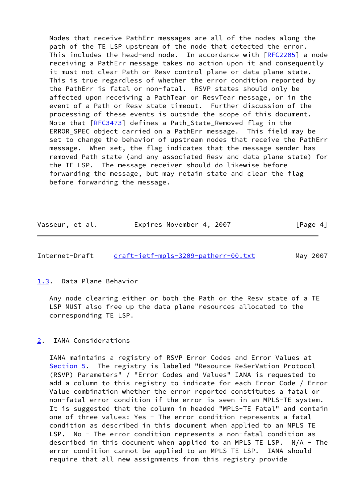Nodes that receive PathErr messages are all of the nodes along the path of the TE LSP upstream of the node that detected the error. This includes the head-end node. In accordance with [\[RFC2205](https://datatracker.ietf.org/doc/pdf/rfc2205)] a node receiving a PathErr message takes no action upon it and consequently it must not clear Path or Resv control plane or data plane state. This is true regardless of whether the error condition reported by the PathErr is fatal or non-fatal. RSVP states should only be affected upon receiving a PathTear or ResvTear message, or in the event of a Path or Resv state timeout. Further discussion of the processing of these events is outside the scope of this document. Note that [[RFC3473](https://datatracker.ietf.org/doc/pdf/rfc3473)] defines a Path\_State\_Removed flag in the ERROR\_SPEC object carried on a PathErr message. This field may be set to change the behavior of upstream nodes that receive the PathErr message. When set, the flag indicates that the message sender has removed Path state (and any associated Resv and data plane state) for the TE LSP. The message receiver should do likewise before forwarding the message, but may retain state and clear the flag before forwarding the message.

| Vasseur, et al. | Expires November 4, 2007 | [Page 4] |
|-----------------|--------------------------|----------|
|-----------------|--------------------------|----------|

## <span id="page-4-1"></span>Internet-Draft [draft-ietf-mpls-3209-patherr-00.txt](https://datatracker.ietf.org/doc/pdf/draft-ietf-mpls-3209-patherr-00.txt) May 2007

<span id="page-4-0"></span>[1.3](#page-4-0). Data Plane Behavior

 Any node clearing either or both the Path or the Resv state of a TE LSP MUST also free up the data plane resources allocated to the corresponding TE LSP.

# <span id="page-4-2"></span>[2](#page-4-2). IANA Considerations

 IANA maintains a registry of RSVP Error Codes and Error Values at [Section 5](#page-7-1). The registry is labeled "Resource ReSerVation Protocol (RSVP) Parameters" / "Error Codes and Values" IANA is requested to add a column to this registry to indicate for each Error Code / Error Value combination whether the error reported constitutes a fatal or non-fatal error condition if the error is seen in an MPLS-TE system. It is suggested that the column in headed "MPLS-TE Fatal" and contain one of three values: Yes - The error condition represents a fatal condition as described in this document when applied to an MPLS TE LSP. No - The error condition represents a non-fatal condition as described in this document when applied to an MPLS TE LSP. N/A - The error condition cannot be applied to an MPLS TE LSP. IANA should require that all new assignments from this registry provide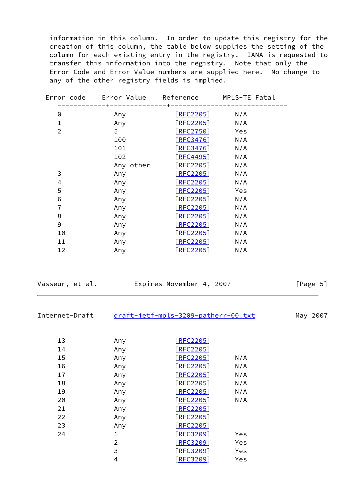information in this column. In order to update this registry for the creation of this column, the table below supplies the setting of the column for each existing entry in the registry. IANA is requested to transfer this information into the registry. Note that only the Error Code and Error Value numbers are supplied here. No change to any of the other registry fields is implied.

| Error code     | Error Value    | Reference                               | MPLS-TE Fatal |
|----------------|----------------|-----------------------------------------|---------------|
| 0              | Any            | <u>[RFC2205]</u>                        | N/A           |
| $\mathbf{1}$   | Any            | [REC2205]                               | N/A           |
| $\overline{2}$ | 5 <sup>1</sup> | [REC2750]                               | Yes           |
|                | 100            | $\left[\frac{\text{RFC3476}}{} \right]$ | N/A           |
|                | 101            | [REC3476]                               | N/A           |
|                | 102            | $\lceil \textsf{RFC4495} \rceil$        | N/A           |
|                | Any other      | [REC2205]                               | N/A           |
| 3              | Any            | [REC2205]                               | N/A           |
| 4              | Any            | [REC2205]                               | N/A           |
| 5              | Any            | [REC2205]                               | Yes           |
| 6              | Any            | [REC2205]                               | N/A           |
| $\overline{7}$ | Any            | [REC2205]                               | N/A           |
| 8              | Any            | [REC2205]                               | N/A           |
| 9              | Any            | [REC2205]                               | N/A           |
| 10             | Any            | [REC2205]                               | N/A           |
| 11             | Any            | [REC2205]                               | N/A           |
| 12             | Any            | [REC2205]                               | N/A           |

| Vasseur, et al. | Expires November 4, 2007 |                                     | [Page 5] |          |  |
|-----------------|--------------------------|-------------------------------------|----------|----------|--|
| Internet-Draft  |                          | draft-ietf-mpls-3209-patherr-00.txt |          | May 2007 |  |
| 13              | Any                      | [REC2205]                           |          |          |  |
| 14              | Any                      | [REC2205]                           |          |          |  |
| 15              | Any                      | [REC2205]                           | N/A      |          |  |
| 16              | Any                      | <u>[RFC2205]</u>                    | N/A      |          |  |
| 17              | Any                      | [REC2205]                           | N/A      |          |  |
| 18              | Any                      | $\boxed{\text{RFC2205}}$            | N/A      |          |  |
| 19              | Any                      | [REC2205]                           | N/A      |          |  |
| 20              | Any                      | [REC2205]                           | N/A      |          |  |
| 21              | Any                      | [REC2205]                           |          |          |  |
| 22              | Any                      | [REC2205]                           |          |          |  |
| 23              | Any                      | [REC2205]                           |          |          |  |
| 24              | $\mathbf 1$              | $\boxed{\text{REC}3209}$            | Yes      |          |  |
|                 | $\overline{2}$           | [REC3209]                           | Yes      |          |  |
|                 | 3                        | [REC3209]                           | Yes      |          |  |

4 [\[RFC3209](https://datatracker.ietf.org/doc/pdf/rfc3209)] Yes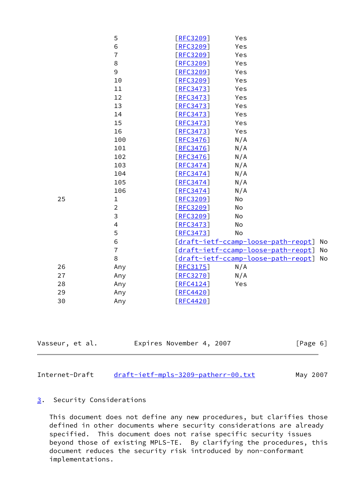| Vasseur, et al. |                | Expires November 4, 2007            |            | [Page 6]                            |    |
|-----------------|----------------|-------------------------------------|------------|-------------------------------------|----|
|                 |                |                                     |            |                                     |    |
| 30              | Any            | [REC4420]                           |            |                                     |    |
| 29              | Any            | RFC4420                             |            |                                     |    |
| 28              | Any            | [RFC4124]                           | Yes        |                                     |    |
| 27              | Any            | [REC3270]                           | N/A        |                                     |    |
| 26              | Any            | [REC3175]                           | N/A        |                                     |    |
|                 | $\,8\,$        |                                     |            | [draft-ietf-ccamp-loose-path-reopt] | No |
|                 | $\overline{7}$ | [draft-ietf-ccamp-loose-path-reopt] |            |                                     | No |
|                 | $\,$ 6         | [draft-ietf-ccamp-loose-path-reopt] |            |                                     | No |
|                 | 5              | [REC3473]                           | No         |                                     |    |
|                 | $\overline{4}$ | [REC3473]                           | No         |                                     |    |
|                 | 3              | [REC3209]                           | No         |                                     |    |
|                 | $\overline{2}$ | [REC3209]                           | No         |                                     |    |
| 25              | $\mathbf 1$    | [RFC3209]                           | No         |                                     |    |
|                 | 106            | [REC3474]                           | N/A        |                                     |    |
|                 | 105            | [REC3474]                           | N/A        |                                     |    |
|                 | 104            | [REC3474]                           | N/A        |                                     |    |
|                 | 103            | [REC3474]                           | N/A        |                                     |    |
|                 | 102            | [REC3476]                           | N/A        |                                     |    |
|                 | 101            | [REC3476]                           | N/A        |                                     |    |
|                 | 100            | [REC3476]                           | N/A        |                                     |    |
|                 | 16             | [REC3473]                           | Yes        |                                     |    |
|                 | 15             | [REC3473]<br>[REC3473]              | Yes        |                                     |    |
|                 | 13<br>14       |                                     | Yes<br>Yes |                                     |    |
|                 | 12             | [REC3473]<br>[REC3473]              | Yes        |                                     |    |
|                 | 11             | [REC3473]                           | Yes        |                                     |    |
|                 | 10             | [REC3209]                           | Yes        |                                     |    |
|                 | 9              | [RE3209]                            | Yes        |                                     |    |
|                 | 8              | [RE3209]                            | Yes        |                                     |    |
|                 | $\overline{7}$ | [REC3209]                           | Yes        |                                     |    |
|                 | 6              | [REC3209]                           | Yes        |                                     |    |
|                 | 5              | [REC3209]                           | Yes        |                                     |    |
|                 |                |                                     |            |                                     |    |

<span id="page-6-1"></span>Internet-Draft [draft-ietf-mpls-3209-patherr-00.txt](https://datatracker.ietf.org/doc/pdf/draft-ietf-mpls-3209-patherr-00.txt) May 2007

# <span id="page-6-0"></span>. Security Considerations

 This document does not define any new procedures, but clarifies those defined in other documents where security considerations are already specified. This document does not raise specific security issues beyond those of existing MPLS-TE. By clarifying the procedures, this document reduces the security risk introduced by non-conformant implementations.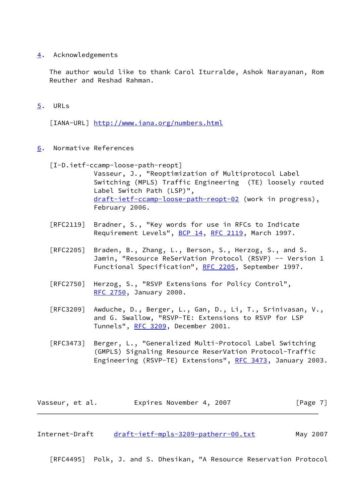<span id="page-7-0"></span>[4](#page-7-0). Acknowledgements

 The author would like to thank Carol Iturralde, Ashok Narayanan, Rom Reuther and Reshad Rahman.

<span id="page-7-1"></span>[5](#page-7-1). URLs

[IANA-URL] <http://www.iana.org/numbers.html>

- <span id="page-7-2"></span>[6](#page-7-2). Normative References
	- [I-D.ietf-ccamp-loose-path-reopt]
		- Vasseur, J., "Reoptimization of Multiprotocol Label Switching (MPLS) Traffic Engineering (TE) loosely routed Label Switch Path (LSP)", [draft-ietf-ccamp-loose-path-reopt-02](https://datatracker.ietf.org/doc/pdf/draft-ietf-ccamp-loose-path-reopt-02) (work in progress), February 2006.
	- [RFC2119] Bradner, S., "Key words for use in RFCs to Indicate Requirement Levels", [BCP 14](https://datatracker.ietf.org/doc/pdf/bcp14), [RFC 2119](https://datatracker.ietf.org/doc/pdf/rfc2119), March 1997.
	- [RFC2205] Braden, B., Zhang, L., Berson, S., Herzog, S., and S. Jamin, "Resource ReSerVation Protocol (RSVP) -- Version 1 Functional Specification", [RFC 2205](https://datatracker.ietf.org/doc/pdf/rfc2205), September 1997.
	- [RFC2750] Herzog, S., "RSVP Extensions for Policy Control", [RFC 2750,](https://datatracker.ietf.org/doc/pdf/rfc2750) January 2000.
	- [RFC3209] Awduche, D., Berger, L., Gan, D., Li, T., Srinivasan, V., and G. Swallow, "RSVP-TE: Extensions to RSVP for LSP Tunnels", [RFC 3209](https://datatracker.ietf.org/doc/pdf/rfc3209), December 2001.
	- [RFC3473] Berger, L., "Generalized Multi-Protocol Label Switching (GMPLS) Signaling Resource ReserVation Protocol-Traffic Engineering (RSVP-TE) Extensions", [RFC 3473](https://datatracker.ietf.org/doc/pdf/rfc3473), January 2003.

| Vasseur, et al. | Expires November 4, 2007 |  | [Page 7] |
|-----------------|--------------------------|--|----------|
|-----------------|--------------------------|--|----------|

<span id="page-7-3"></span>Internet-Draft [draft-ietf-mpls-3209-patherr-00.txt](https://datatracker.ietf.org/doc/pdf/draft-ietf-mpls-3209-patherr-00.txt) May 2007

[RFC4495] Polk, J. and S. Dhesikan, "A Resource Reservation Protocol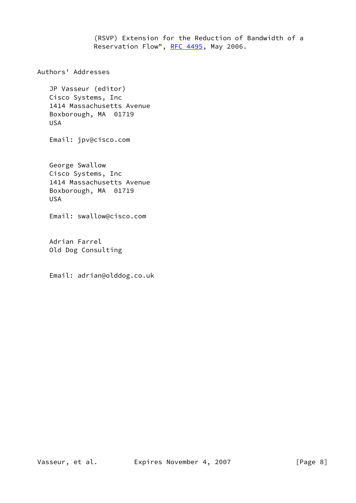(RSVP) Extension for the Reduction of Bandwidth of a Reservation Flow", [RFC 4495](https://datatracker.ietf.org/doc/pdf/rfc4495), May 2006.

Authors' Addresses

 JP Vasseur (editor) Cisco Systems, Inc 1414 Massachusetts Avenue Boxborough, MA 01719 USA

Email: jpv@cisco.com

 George Swallow Cisco Systems, Inc 1414 Massachusetts Avenue Boxborough, MA 01719 USA

Email: swallow@cisco.com

 Adrian Farrel Old Dog Consulting

Email: adrian@olddog.co.uk